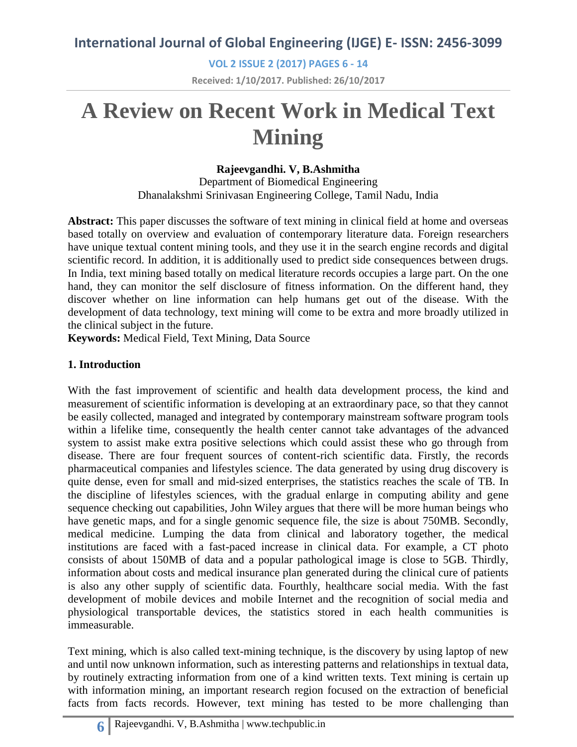**VOL 2 ISSUE 2 (2017) PAGES 6 - 14 Received: 1/10/2017. Published: 26/10/2017**

# **A Review on Recent Work in Medical Text Mining**

## **Rajeevgandhi. V, B.Ashmitha**

Department of Biomedical Engineering Dhanalakshmi Srinivasan Engineering College, Tamil Nadu, India

**Abstract:** This paper discusses the software of text mining in clinical field at home and overseas based totally on overview and evaluation of contemporary literature data. Foreign researchers have unique textual content mining tools, and they use it in the search engine records and digital scientific record. In addition, it is additionally used to predict side consequences between drugs. In India, text mining based totally on medical literature records occupies a large part. On the one hand, they can monitor the self disclosure of fitness information. On the different hand, they discover whether on line information can help humans get out of the disease. With the development of data technology, text mining will come to be extra and more broadly utilized in the clinical subject in the future.

**Keywords:** Medical Field, Text Mining, Data Source

## **1. Introduction**

With the fast improvement of scientific and health data development process, the kind and measurement of scientific information is developing at an extraordinary pace, so that they cannot be easily collected, managed and integrated by contemporary mainstream software program tools within a lifelike time, consequently the health center cannot take advantages of the advanced system to assist make extra positive selections which could assist these who go through from disease. There are four frequent sources of content-rich scientific data. Firstly, the records pharmaceutical companies and lifestyles science. The data generated by using drug discovery is quite dense, even for small and mid-sized enterprises, the statistics reaches the scale of TB. In the discipline of lifestyles sciences, with the gradual enlarge in computing ability and gene sequence checking out capabilities, John Wiley argues that there will be more human beings who have genetic maps, and for a single genomic sequence file, the size is about 750MB. Secondly, medical medicine. Lumping the data from clinical and laboratory together, the medical institutions are faced with a fast-paced increase in clinical data. For example, a CT photo consists of about 150MB of data and a popular pathological image is close to 5GB. Thirdly, information about costs and medical insurance plan generated during the clinical cure of patients is also any other supply of scientific data. Fourthly, healthcare social media. With the fast development of mobile devices and mobile Internet and the recognition of social media and physiological transportable devices, the statistics stored in each health communities is immeasurable.

Text mining, which is also called text-mining technique, is the discovery by using laptop of new and until now unknown information, such as interesting patterns and relationships in textual data, by routinely extracting information from one of a kind written texts. Text mining is certain up with information mining, an important research region focused on the extraction of beneficial facts from facts records. However, text mining has tested to be more challenging than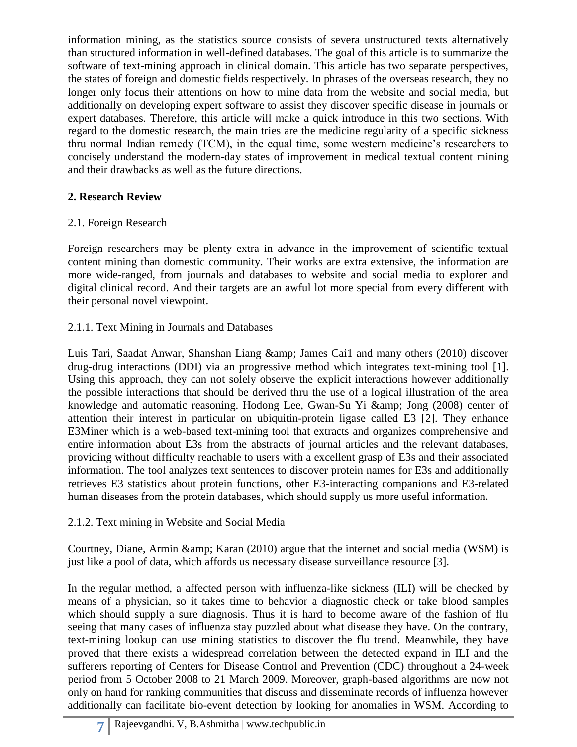information mining, as the statistics source consists of severa unstructured texts alternatively than structured information in well-defined databases. The goal of this article is to summarize the software of text-mining approach in clinical domain. This article has two separate perspectives, the states of foreign and domestic fields respectively. In phrases of the overseas research, they no longer only focus their attentions on how to mine data from the website and social media, but additionally on developing expert software to assist they discover specific disease in journals or expert databases. Therefore, this article will make a quick introduce in this two sections. With regard to the domestic research, the main tries are the medicine regularity of a specific sickness thru normal Indian remedy (TCM), in the equal time, some western medicine's researchers to concisely understand the modern-day states of improvement in medical textual content mining and their drawbacks as well as the future directions.

## **2. Research Review**

## 2.1. Foreign Research

Foreign researchers may be plenty extra in advance in the improvement of scientific textual content mining than domestic community. Their works are extra extensive, the information are more wide-ranged, from journals and databases to website and social media to explorer and digital clinical record. And their targets are an awful lot more special from every different with their personal novel viewpoint.

## 2.1.1. Text Mining in Journals and Databases

Luis Tari, Saadat Anwar, Shanshan Liang & amp; James Cai1 and many others (2010) discover drug-drug interactions (DDI) via an progressive method which integrates text-mining tool [1]. Using this approach, they can not solely observe the explicit interactions however additionally the possible interactions that should be derived thru the use of a logical illustration of the area knowledge and automatic reasoning. Hodong Lee, Gwan-Su Yi & amp; Jong (2008) center of attention their interest in particular on ubiquitin-protein ligase called E3 [2]. They enhance E3Miner which is a web-based text-mining tool that extracts and organizes comprehensive and entire information about E3s from the abstracts of journal articles and the relevant databases, providing without difficulty reachable to users with a excellent grasp of E3s and their associated information. The tool analyzes text sentences to discover protein names for E3s and additionally retrieves E3 statistics about protein functions, other E3-interacting companions and E3-related human diseases from the protein databases, which should supply us more useful information.

#### 2.1.2. Text mining in Website and Social Media

Courtney, Diane, Armin & amp; Karan (2010) argue that the internet and social media (WSM) is just like a pool of data, which affords us necessary disease surveillance resource [3].

In the regular method, a affected person with influenza-like sickness (ILI) will be checked by means of a physician, so it takes time to behavior a diagnostic check or take blood samples which should supply a sure diagnosis. Thus it is hard to become aware of the fashion of flu seeing that many cases of influenza stay puzzled about what disease they have. On the contrary, text-mining lookup can use mining statistics to discover the flu trend. Meanwhile, they have proved that there exists a widespread correlation between the detected expand in ILI and the sufferers reporting of Centers for Disease Control and Prevention (CDC) throughout a 24-week period from 5 October 2008 to 21 March 2009. Moreover, graph-based algorithms are now not only on hand for ranking communities that discuss and disseminate records of influenza however additionally can facilitate bio-event detection by looking for anomalies in WSM. According to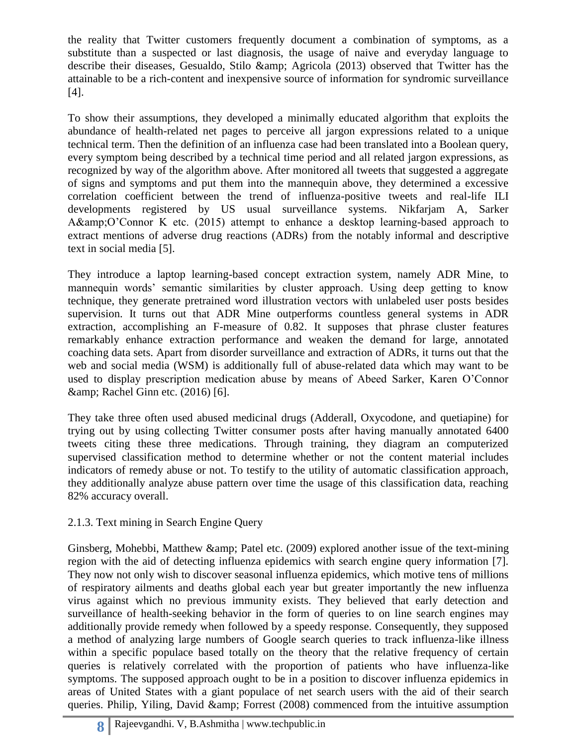the reality that Twitter customers frequently document a combination of symptoms, as a substitute than a suspected or last diagnosis, the usage of naive and everyday language to describe their diseases, Gesualdo, Stilo & amp; Agricola (2013) observed that Twitter has the attainable to be a rich-content and inexpensive source of information for syndromic surveillance [4].

To show their assumptions, they developed a minimally educated algorithm that exploits the abundance of health-related net pages to perceive all jargon expressions related to a unique technical term. Then the definition of an influenza case had been translated into a Boolean query, every symptom being described by a technical time period and all related jargon expressions, as recognized by way of the algorithm above. After monitored all tweets that suggested a aggregate of signs and symptoms and put them into the mannequin above, they determined a excessive correlation coefficient between the trend of influenza-positive tweets and real-life ILI developments registered by US usual surveillance systems. Nikfarjam A, Sarker A&O'Connor K etc. (2015) attempt to enhance a desktop learning-based approach to extract mentions of adverse drug reactions (ADRs) from the notably informal and descriptive text in social media [5].

They introduce a laptop learning-based concept extraction system, namely ADR Mine, to mannequin words' semantic similarities by cluster approach. Using deep getting to know technique, they generate pretrained word illustration vectors with unlabeled user posts besides supervision. It turns out that ADR Mine outperforms countless general systems in ADR extraction, accomplishing an F-measure of 0.82. It supposes that phrase cluster features remarkably enhance extraction performance and weaken the demand for large, annotated coaching data sets. Apart from disorder surveillance and extraction of ADRs, it turns out that the web and social media (WSM) is additionally full of abuse-related data which may want to be used to display prescription medication abuse by means of Abeed Sarker, Karen O'Connor & amp; Rachel Ginn etc. (2016) [6].

They take three often used abused medicinal drugs (Adderall, Oxycodone, and quetiapine) for trying out by using collecting Twitter consumer posts after having manually annotated 6400 tweets citing these three medications. Through training, they diagram an computerized supervised classification method to determine whether or not the content material includes indicators of remedy abuse or not. To testify to the utility of automatic classification approach, they additionally analyze abuse pattern over time the usage of this classification data, reaching 82% accuracy overall.

# 2.1.3. Text mining in Search Engine Query

Ginsberg, Mohebbi, Matthew & amp; Patel etc. (2009) explored another issue of the text-mining region with the aid of detecting influenza epidemics with search engine query information [7]. They now not only wish to discover seasonal influenza epidemics, which motive tens of millions of respiratory ailments and deaths global each year but greater importantly the new influenza virus against which no previous immunity exists. They believed that early detection and surveillance of health-seeking behavior in the form of queries to on line search engines may additionally provide remedy when followed by a speedy response. Consequently, they supposed a method of analyzing large numbers of Google search queries to track influenza-like illness within a specific populace based totally on the theory that the relative frequency of certain queries is relatively correlated with the proportion of patients who have influenza-like symptoms. The supposed approach ought to be in a position to discover influenza epidemics in areas of United States with a giant populace of net search users with the aid of their search queries. Philip, Yiling, David  $\&$ amp; Forrest (2008) commenced from the intuitive assumption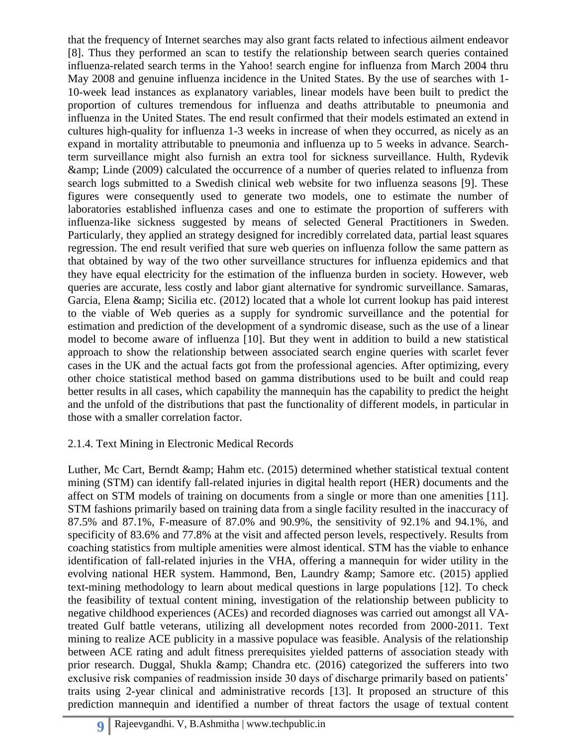that the frequency of Internet searches may also grant facts related to infectious ailment endeavor [8]. Thus they performed an scan to testify the relationship between search queries contained influenza-related search terms in the Yahoo! search engine for influenza from March 2004 thru May 2008 and genuine influenza incidence in the United States. By the use of searches with 1- 10-week lead instances as explanatory variables, linear models have been built to predict the proportion of cultures tremendous for influenza and deaths attributable to pneumonia and influenza in the United States. The end result confirmed that their models estimated an extend in cultures high-quality for influenza 1-3 weeks in increase of when they occurred, as nicely as an expand in mortality attributable to pneumonia and influenza up to 5 weeks in advance. Searchterm surveillance might also furnish an extra tool for sickness surveillance. Hulth, Rydevik & Linde (2009) calculated the occurrence of a number of queries related to influenza from search logs submitted to a Swedish clinical web website for two influenza seasons [9]. These figures were consequently used to generate two models, one to estimate the number of laboratories established influenza cases and one to estimate the proportion of sufferers with influenza-like sickness suggested by means of selected General Practitioners in Sweden. Particularly, they applied an strategy designed for incredibly correlated data, partial least squares regression. The end result verified that sure web queries on influenza follow the same pattern as that obtained by way of the two other surveillance structures for influenza epidemics and that they have equal electricity for the estimation of the influenza burden in society. However, web queries are accurate, less costly and labor giant alternative for syndromic surveillance. Samaras, Garcia, Elena & amp; Sicilia etc. (2012) located that a whole lot current lookup has paid interest to the viable of Web queries as a supply for syndromic surveillance and the potential for estimation and prediction of the development of a syndromic disease, such as the use of a linear model to become aware of influenza [10]. But they went in addition to build a new statistical approach to show the relationship between associated search engine queries with scarlet fever cases in the UK and the actual facts got from the professional agencies. After optimizing, every other choice statistical method based on gamma distributions used to be built and could reap better results in all cases, which capability the mannequin has the capability to predict the height and the unfold of the distributions that past the functionality of different models, in particular in those with a smaller correlation factor.

#### 2.1.4. Text Mining in Electronic Medical Records

Luther, Mc Cart, Berndt  $\&$ amp; Hahm etc. (2015) determined whether statistical textual content mining (STM) can identify fall-related injuries in digital health report (HER) documents and the affect on STM models of training on documents from a single or more than one amenities [11]. STM fashions primarily based on training data from a single facility resulted in the inaccuracy of 87.5% and 87.1%, F-measure of 87.0% and 90.9%, the sensitivity of 92.1% and 94.1%, and specificity of 83.6% and 77.8% at the visit and affected person levels, respectively. Results from coaching statistics from multiple amenities were almost identical. STM has the viable to enhance identification of fall-related injuries in the VHA, offering a mannequin for wider utility in the evolving national HER system. Hammond, Ben, Laundry & amp; Samore etc. (2015) applied text-mining methodology to learn about medical questions in large populations [12]. To check the feasibility of textual content mining, investigation of the relationship between publicity to negative childhood experiences (ACEs) and recorded diagnoses was carried out amongst all VAtreated Gulf battle veterans, utilizing all development notes recorded from 2000-2011. Text mining to realize ACE publicity in a massive populace was feasible. Analysis of the relationship between ACE rating and adult fitness prerequisites yielded patterns of association steady with prior research. Duggal, Shukla & amp; Chandra etc. (2016) categorized the sufferers into two exclusive risk companies of readmission inside 30 days of discharge primarily based on patients' traits using 2-year clinical and administrative records [13]. It proposed an structure of this prediction mannequin and identified a number of threat factors the usage of textual content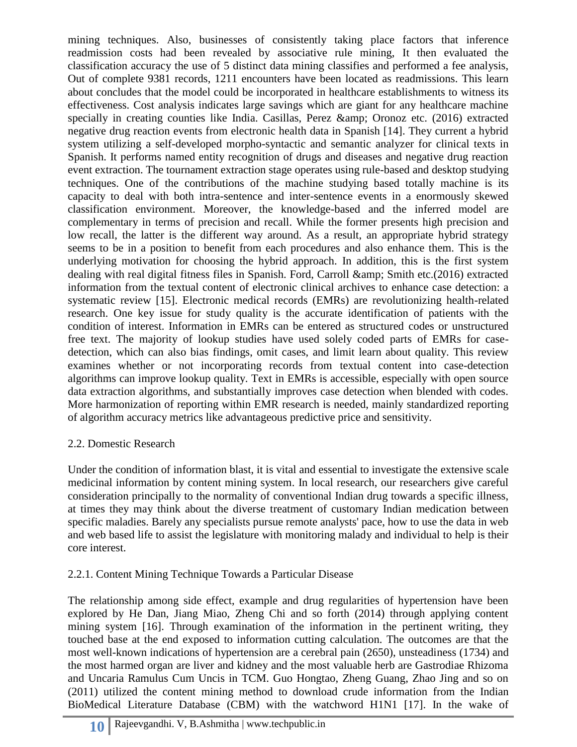mining techniques. Also, businesses of consistently taking place factors that inference readmission costs had been revealed by associative rule mining, It then evaluated the classification accuracy the use of 5 distinct data mining classifies and performed a fee analysis, Out of complete 9381 records, 1211 encounters have been located as readmissions. This learn about concludes that the model could be incorporated in healthcare establishments to witness its effectiveness. Cost analysis indicates large savings which are giant for any healthcare machine specially in creating counties like India. Casillas, Perez  $\&$ amp; Oronoz etc. (2016) extracted negative drug reaction events from electronic health data in Spanish [14]. They current a hybrid system utilizing a self-developed morpho-syntactic and semantic analyzer for clinical texts in Spanish. It performs named entity recognition of drugs and diseases and negative drug reaction event extraction. The tournament extraction stage operates using rule-based and desktop studying techniques. One of the contributions of the machine studying based totally machine is its capacity to deal with both intra-sentence and inter-sentence events in a enormously skewed classification environment. Moreover, the knowledge-based and the inferred model are complementary in terms of precision and recall. While the former presents high precision and low recall, the latter is the different way around. As a result, an appropriate hybrid strategy seems to be in a position to benefit from each procedures and also enhance them. This is the underlying motivation for choosing the hybrid approach. In addition, this is the first system dealing with real digital fitness files in Spanish. Ford, Carroll & amp; Smith etc.(2016) extracted information from the textual content of electronic clinical archives to enhance case detection: a systematic review [15]. Electronic medical records (EMRs) are revolutionizing health-related research. One key issue for study quality is the accurate identification of patients with the condition of interest. Information in EMRs can be entered as structured codes or unstructured free text. The majority of lookup studies have used solely coded parts of EMRs for casedetection, which can also bias findings, omit cases, and limit learn about quality. This review examines whether or not incorporating records from textual content into case-detection algorithms can improve lookup quality. Text in EMRs is accessible, especially with open source data extraction algorithms, and substantially improves case detection when blended with codes. More harmonization of reporting within EMR research is needed, mainly standardized reporting of algorithm accuracy metrics like advantageous predictive price and sensitivity.

# 2.2. Domestic Research

Under the condition of information blast, it is vital and essential to investigate the extensive scale medicinal information by content mining system. In local research, our researchers give careful consideration principally to the normality of conventional Indian drug towards a specific illness, at times they may think about the diverse treatment of customary Indian medication between specific maladies. Barely any specialists pursue remote analysts' pace, how to use the data in web and web based life to assist the legislature with monitoring malady and individual to help is their core interest.

# 2.2.1. Content Mining Technique Towards a Particular Disease

The relationship among side effect, example and drug regularities of hypertension have been explored by He Dan, Jiang Miao, Zheng Chi and so forth (2014) through applying content mining system [16]. Through examination of the information in the pertinent writing, they touched base at the end exposed to information cutting calculation. The outcomes are that the most well-known indications of hypertension are a cerebral pain (2650), unsteadiness (1734) and the most harmed organ are liver and kidney and the most valuable herb are Gastrodiae Rhizoma and Uncaria Ramulus Cum Uncis in TCM. Guo Hongtao, Zheng Guang, Zhao Jing and so on (2011) utilized the content mining method to download crude information from the Indian BioMedical Literature Database (CBM) with the watchword H1N1 [17]. In the wake of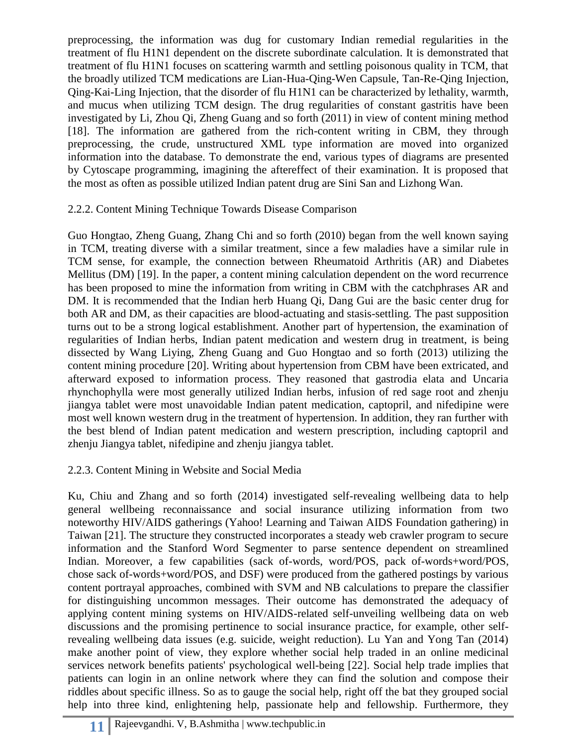preprocessing, the information was dug for customary Indian remedial regularities in the treatment of flu H1N1 dependent on the discrete subordinate calculation. It is demonstrated that treatment of flu H1N1 focuses on scattering warmth and settling poisonous quality in TCM, that the broadly utilized TCM medications are Lian-Hua-Qing-Wen Capsule, Tan-Re-Qing Injection, Qing-Kai-Ling Injection, that the disorder of flu H1N1 can be characterized by lethality, warmth, and mucus when utilizing TCM design. The drug regularities of constant gastritis have been investigated by Li, Zhou Qi, Zheng Guang and so forth (2011) in view of content mining method [18]. The information are gathered from the rich-content writing in CBM, they through preprocessing, the crude, unstructured XML type information are moved into organized information into the database. To demonstrate the end, various types of diagrams are presented by Cytoscape programming, imagining the aftereffect of their examination. It is proposed that the most as often as possible utilized Indian patent drug are Sini San and Lizhong Wan.

#### 2.2.2. Content Mining Technique Towards Disease Comparison

Guo Hongtao, Zheng Guang, Zhang Chi and so forth (2010) began from the well known saying in TCM, treating diverse with a similar treatment, since a few maladies have a similar rule in TCM sense, for example, the connection between Rheumatoid Arthritis (AR) and Diabetes Mellitus (DM) [19]. In the paper, a content mining calculation dependent on the word recurrence has been proposed to mine the information from writing in CBM with the catchphrases AR and DM. It is recommended that the Indian herb Huang Qi, Dang Gui are the basic center drug for both AR and DM, as their capacities are blood-actuating and stasis-settling. The past supposition turns out to be a strong logical establishment. Another part of hypertension, the examination of regularities of Indian herbs, Indian patent medication and western drug in treatment, is being dissected by Wang Liying, Zheng Guang and Guo Hongtao and so forth (2013) utilizing the content mining procedure [20]. Writing about hypertension from CBM have been extricated, and afterward exposed to information process. They reasoned that gastrodia elata and Uncaria rhynchophylla were most generally utilized Indian herbs, infusion of red sage root and zhenju jiangya tablet were most unavoidable Indian patent medication, captopril, and nifedipine were most well known western drug in the treatment of hypertension. In addition, they ran further with the best blend of Indian patent medication and western prescription, including captopril and zhenju Jiangya tablet, nifedipine and zhenju jiangya tablet.

#### 2.2.3. Content Mining in Website and Social Media

Ku, Chiu and Zhang and so forth (2014) investigated self-revealing wellbeing data to help general wellbeing reconnaissance and social insurance utilizing information from two noteworthy HIV/AIDS gatherings (Yahoo! Learning and Taiwan AIDS Foundation gathering) in Taiwan [21]. The structure they constructed incorporates a steady web crawler program to secure information and the Stanford Word Segmenter to parse sentence dependent on streamlined Indian. Moreover, a few capabilities (sack of-words, word/POS, pack of-words+word/POS, chose sack of-words+word/POS, and DSF) were produced from the gathered postings by various content portrayal approaches, combined with SVM and NB calculations to prepare the classifier for distinguishing uncommon messages. Their outcome has demonstrated the adequacy of applying content mining systems on HIV/AIDS-related self-unveiling wellbeing data on web discussions and the promising pertinence to social insurance practice, for example, other selfrevealing wellbeing data issues (e.g. suicide, weight reduction). Lu Yan and Yong Tan (2014) make another point of view, they explore whether social help traded in an online medicinal services network benefits patients' psychological well-being [22]. Social help trade implies that patients can login in an online network where they can find the solution and compose their riddles about specific illness. So as to gauge the social help, right off the bat they grouped social help into three kind, enlightening help, passionate help and fellowship. Furthermore, they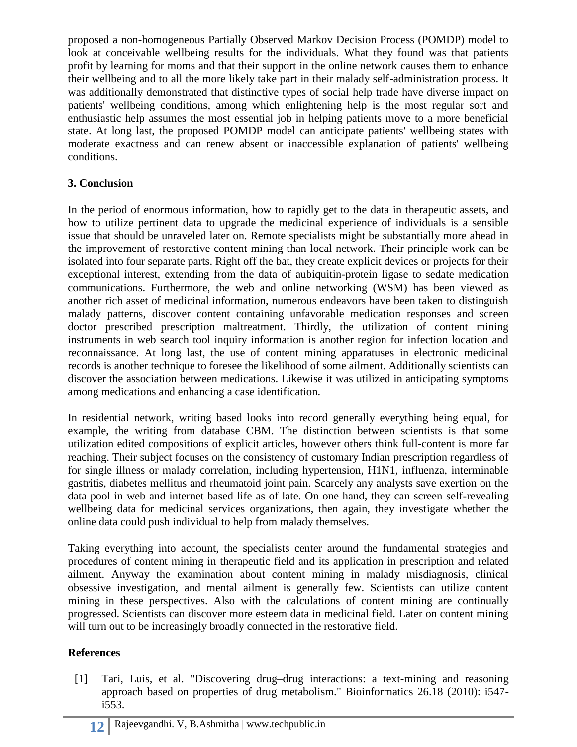proposed a non-homogeneous Partially Observed Markov Decision Process (POMDP) model to look at conceivable wellbeing results for the individuals. What they found was that patients profit by learning for moms and that their support in the online network causes them to enhance their wellbeing and to all the more likely take part in their malady self-administration process. It was additionally demonstrated that distinctive types of social help trade have diverse impact on patients' wellbeing conditions, among which enlightening help is the most regular sort and enthusiastic help assumes the most essential job in helping patients move to a more beneficial state. At long last, the proposed POMDP model can anticipate patients' wellbeing states with moderate exactness and can renew absent or inaccessible explanation of patients' wellbeing conditions.

## **3. Conclusion**

In the period of enormous information, how to rapidly get to the data in therapeutic assets, and how to utilize pertinent data to upgrade the medicinal experience of individuals is a sensible issue that should be unraveled later on. Remote specialists might be substantially more ahead in the improvement of restorative content mining than local network. Their principle work can be isolated into four separate parts. Right off the bat, they create explicit devices or projects for their exceptional interest, extending from the data of aubiquitin-protein ligase to sedate medication communications. Furthermore, the web and online networking (WSM) has been viewed as another rich asset of medicinal information, numerous endeavors have been taken to distinguish malady patterns, discover content containing unfavorable medication responses and screen doctor prescribed prescription maltreatment. Thirdly, the utilization of content mining instruments in web search tool inquiry information is another region for infection location and reconnaissance. At long last, the use of content mining apparatuses in electronic medicinal records is another technique to foresee the likelihood of some ailment. Additionally scientists can discover the association between medications. Likewise it was utilized in anticipating symptoms among medications and enhancing a case identification.

In residential network, writing based looks into record generally everything being equal, for example, the writing from database CBM. The distinction between scientists is that some utilization edited compositions of explicit articles, however others think full-content is more far reaching. Their subject focuses on the consistency of customary Indian prescription regardless of for single illness or malady correlation, including hypertension, H1N1, influenza, interminable gastritis, diabetes mellitus and rheumatoid joint pain. Scarcely any analysts save exertion on the data pool in web and internet based life as of late. On one hand, they can screen self-revealing wellbeing data for medicinal services organizations, then again, they investigate whether the online data could push individual to help from malady themselves.

Taking everything into account, the specialists center around the fundamental strategies and procedures of content mining in therapeutic field and its application in prescription and related ailment. Anyway the examination about content mining in malady misdiagnosis, clinical obsessive investigation, and mental ailment is generally few. Scientists can utilize content mining in these perspectives. Also with the calculations of content mining are continually progressed. Scientists can discover more esteem data in medicinal field. Later on content mining will turn out to be increasingly broadly connected in the restorative field.

#### **References**

[1] Tari, Luis, et al. "Discovering drug–drug interactions: a text-mining and reasoning approach based on properties of drug metabolism." Bioinformatics 26.18 (2010): i547 i553.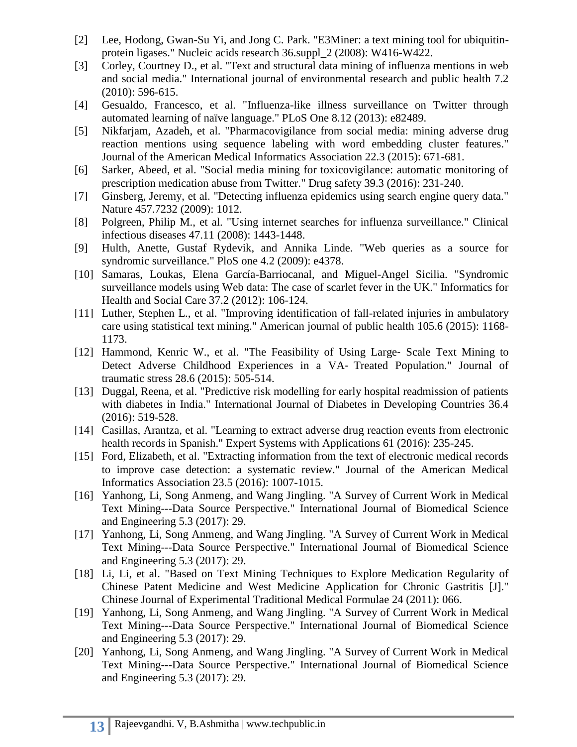- [2] Lee, Hodong, Gwan-Su Yi, and Jong C. Park. "E3Miner: a text mining tool for ubiquitinprotein ligases." Nucleic acids research 36.suppl\_2 (2008): W416-W422.
- [3] Corley, Courtney D., et al. "Text and structural data mining of influenza mentions in web and social media." International journal of environmental research and public health 7.2 (2010): 596-615.
- [4] Gesualdo, Francesco, et al. "Influenza-like illness surveillance on Twitter through automated learning of naïve language." PLoS One 8.12 (2013): e82489.
- [5] Nikfarjam, Azadeh, et al. "Pharmacovigilance from social media: mining adverse drug reaction mentions using sequence labeling with word embedding cluster features." Journal of the American Medical Informatics Association 22.3 (2015): 671-681.
- [6] Sarker, Abeed, et al. "Social media mining for toxicovigilance: automatic monitoring of prescription medication abuse from Twitter." Drug safety 39.3 (2016): 231-240.
- [7] Ginsberg, Jeremy, et al. "Detecting influenza epidemics using search engine query data." Nature 457.7232 (2009): 1012.
- [8] Polgreen, Philip M., et al. "Using internet searches for influenza surveillance." Clinical infectious diseases 47.11 (2008): 1443-1448.
- [9] Hulth, Anette, Gustaf Rydevik, and Annika Linde. "Web queries as a source for syndromic surveillance." PloS one 4.2 (2009): e4378.
- [10] Samaras, Loukas, Elena García-Barriocanal, and Miguel-Angel Sicilia. "Syndromic surveillance models using Web data: The case of scarlet fever in the UK." Informatics for Health and Social Care 37.2 (2012): 106-124.
- [11] Luther, Stephen L., et al. "Improving identification of fall-related injuries in ambulatory care using statistical text mining." American journal of public health 105.6 (2015): 1168- 1173.
- [12] Hammond, Kenric W., et al. "The Feasibility of Using Large- Scale Text Mining to Detect Adverse Childhood Experiences in a VA‐ Treated Population." Journal of traumatic stress 28.6 (2015): 505-514.
- [13] Duggal, Reena, et al. "Predictive risk modelling for early hospital readmission of patients with diabetes in India." International Journal of Diabetes in Developing Countries 36.4 (2016): 519-528.
- [14] Casillas, Arantza, et al. "Learning to extract adverse drug reaction events from electronic health records in Spanish." Expert Systems with Applications 61 (2016): 235-245.
- [15] Ford, Elizabeth, et al. "Extracting information from the text of electronic medical records to improve case detection: a systematic review." Journal of the American Medical Informatics Association 23.5 (2016): 1007-1015.
- [16] Yanhong, Li, Song Anmeng, and Wang Jingling. "A Survey of Current Work in Medical Text Mining---Data Source Perspective." International Journal of Biomedical Science and Engineering 5.3 (2017): 29.
- [17] Yanhong, Li, Song Anmeng, and Wang Jingling. "A Survey of Current Work in Medical Text Mining---Data Source Perspective." International Journal of Biomedical Science and Engineering 5.3 (2017): 29.
- [18] Li, Li, et al. "Based on Text Mining Techniques to Explore Medication Regularity of Chinese Patent Medicine and West Medicine Application for Chronic Gastritis [J]." Chinese Journal of Experimental Traditional Medical Formulae 24 (2011): 066.
- [19] Yanhong, Li, Song Anmeng, and Wang Jingling. "A Survey of Current Work in Medical Text Mining---Data Source Perspective." International Journal of Biomedical Science and Engineering 5.3 (2017): 29.
- [20] Yanhong, Li, Song Anmeng, and Wang Jingling. "A Survey of Current Work in Medical Text Mining---Data Source Perspective." International Journal of Biomedical Science and Engineering 5.3 (2017): 29.